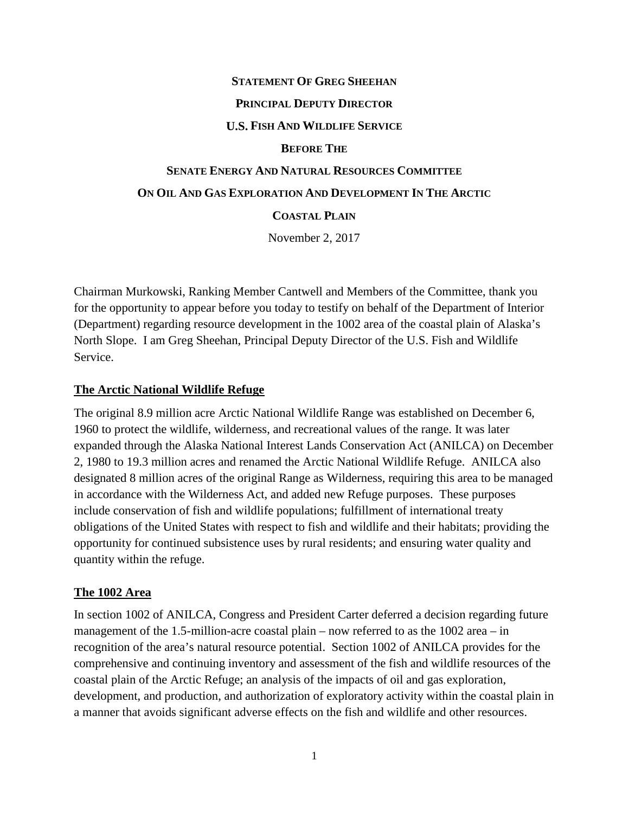### **STATEMENT OF GREG SHEEHAN**

### **PRINCIPAL DEPUTY DIRECTOR**

### **U.S. FISH AND WILDLIFE SERVICE**

#### **BEFORE THE**

# **SENATE ENERGY AND NATURAL RESOURCES COMMITTEE ON OIL AND GAS EXPLORATION AND DEVELOPMENT IN THE ARCTIC**

## **COASTAL PLAIN**

November 2, 2017

Chairman Murkowski, Ranking Member Cantwell and Members of the Committee, thank you for the opportunity to appear before you today to testify on behalf of the Department of Interior (Department) regarding resource development in the 1002 area of the coastal plain of Alaska's North Slope. I am Greg Sheehan, Principal Deputy Director of the U.S. Fish and Wildlife Service.

### **The Arctic National Wildlife Refuge**

The original 8.9 million acre Arctic National Wildlife Range was established on December 6, 1960 to protect the wildlife, wilderness, and recreational values of the range. It was later expanded through the Alaska National Interest Lands Conservation Act (ANILCA) on December 2, 1980 to 19.3 million acres and renamed the Arctic National Wildlife Refuge. ANILCA also designated 8 million acres of the original Range as Wilderness, requiring this area to be managed in accordance with the Wilderness Act, and added new Refuge purposes. These purposes include conservation of fish and wildlife populations; fulfillment of international treaty obligations of the United States with respect to fish and wildlife and their habitats; providing the opportunity for continued subsistence uses by rural residents; and ensuring water quality and quantity within the refuge.

## **The 1002 Area**

In section 1002 of ANILCA, Congress and President Carter deferred a decision regarding future management of the 1.5-million-acre coastal plain – now referred to as the 1002 area – in recognition of the area's natural resource potential. Section 1002 of ANILCA provides for the comprehensive and continuing inventory and assessment of the fish and wildlife resources of the coastal plain of the Arctic Refuge; an analysis of the impacts of oil and gas exploration, development, and production, and authorization of exploratory activity within the coastal plain in a manner that avoids significant adverse effects on the fish and wildlife and other resources.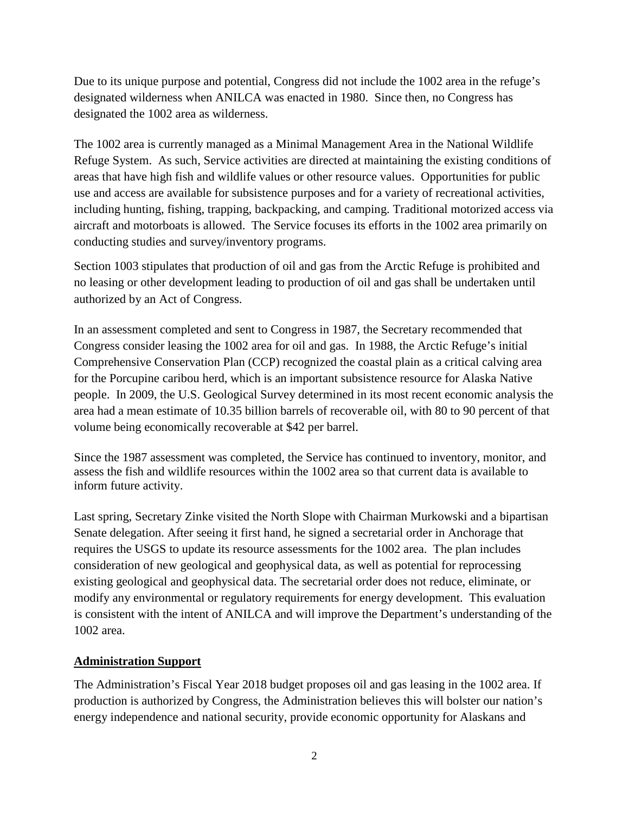Due to its unique purpose and potential, Congress did not include the 1002 area in the refuge's designated wilderness when ANILCA was enacted in 1980. Since then, no Congress has designated the 1002 area as wilderness.

The 1002 area is currently managed as a Minimal Management Area in the National Wildlife Refuge System. As such, Service activities are directed at maintaining the existing conditions of areas that have high fish and wildlife values or other resource values. Opportunities for public use and access are available for subsistence purposes and for a variety of recreational activities, including hunting, fishing, trapping, backpacking, and camping. Traditional motorized access via aircraft and motorboats is allowed. The Service focuses its efforts in the 1002 area primarily on conducting studies and survey/inventory programs.

Section 1003 stipulates that production of oil and gas from the Arctic Refuge is prohibited and no leasing or other development leading to production of oil and gas shall be undertaken until authorized by an Act of Congress.

In an assessment completed and sent to Congress in 1987, the Secretary recommended that Congress consider leasing the 1002 area for oil and gas. In 1988, the Arctic Refuge's initial Comprehensive Conservation Plan (CCP) recognized the coastal plain as a critical calving area for the Porcupine caribou herd, which is an important subsistence resource for Alaska Native people. In 2009, the U.S. Geological Survey determined in its most recent economic analysis the area had a mean estimate of 10.35 billion barrels of recoverable oil, with 80 to 90 percent of that volume being economically recoverable at \$42 per barrel.

Since the 1987 assessment was completed, the Service has continued to inventory, monitor, and assess the fish and wildlife resources within the 1002 area so that current data is available to inform future activity.

Last spring, Secretary Zinke visited the North Slope with Chairman Murkowski and a bipartisan Senate delegation. After seeing it first hand, he signed a secretarial order in Anchorage that requires the USGS to update its resource assessments for the 1002 area. The plan includes consideration of new geological and geophysical data, as well as potential for reprocessing existing geological and geophysical data. The secretarial order does not reduce, eliminate, or modify any environmental or regulatory requirements for energy development. This evaluation is consistent with the intent of ANILCA and will improve the Department's understanding of the 1002 area.

## **Administration Support**

The Administration's Fiscal Year 2018 budget proposes oil and gas leasing in the 1002 area. If production is authorized by Congress, the Administration believes this will bolster our nation's energy independence and national security, provide economic opportunity for Alaskans and